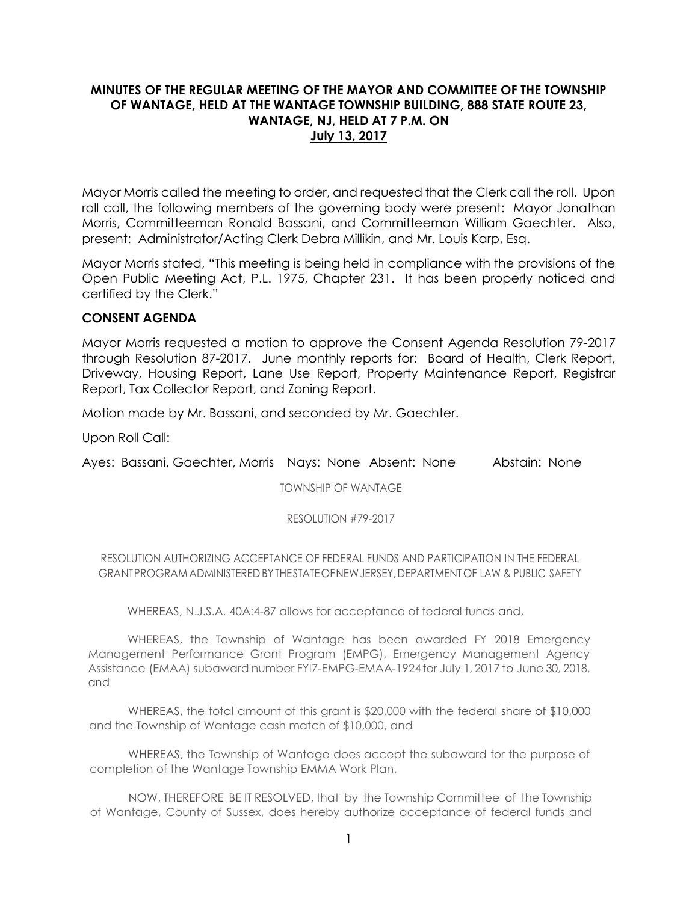# **MINUTES OF THE REGULAR MEETING OF THE MAYOR AND COMMITTEE OF THE TOWNSHIP OF WANTAGE, HELD AT THE WANTAGE TOWNSHIP BUILDING, 888 STATE ROUTE 23, WANTAGE, NJ, HELD AT 7 P.M. ON July 13, 2017**

Mayor Morris called the meeting to order, and requested that the Clerk call the roll. Upon roll call, the following members of the governing body were present: Mayor Jonathan Morris, Committeeman Ronald Bassani, and Committeeman William Gaechter. Also, present: Administrator/Acting Clerk Debra Millikin, and Mr. Louis Karp, Esq.

Mayor Morris stated, "This meeting is being held in compliance with the provisions of the Open Public Meeting Act, P.L. 1975, Chapter 231. It has been properly noticed and certified by the Clerk."

# **CONSENT AGENDA**

Mayor Morris requested a motion to approve the Consent Agenda Resolution 79-2017 through Resolution 87-2017. June monthly reports for: Board of Health, Clerk Report, Driveway, Housing Report, Lane Use Report, Property Maintenance Report, Registrar Report, Tax Collector Report, and Zoning Report.

Motion made by Mr. Bassani, and seconded by Mr. Gaechter.

Upon Roll Call:

Ayes: Bassani, Gaechter, Morris Nays: None Absent: None Abstain: None

TOWNSHIP OF WANTAGE

RESOLUTION #79-2017

RESOLUTION AUTHORIZING ACCEPTANCE OF FEDERAL FUNDS AND PARTICIPATION IN THE FEDERAL GRANTPROGRAM ADMINISTEREDBYTHESTATEOFNEWJERSEY,DEPARTMENT OF LAW & PUBLIC SAFETY

WHEREAS, N.J.S.A. 40A:4-87 allows for acceptance of federal funds and,

WHEREAS, the Township of Wantage has been awarded FY 2018 Emergency Management Performance Grant Program (EMPG), Emergency Management Agency Assistance (EMAA) subaward number FYl7-EMPG-EMAA-1924 for July 1, 2017 to June 30, 2018, and

WHEREAS, the total amount of this grant is \$20,000 with the federal share of \$10,000 and the Township of Wantage cash match of \$10,000, and

WHEREAS, the Township of Wantage does accept the subaward for the purpose of completion of the Wantage Township EMMA Work Plan,

NOW, THEREFORE BE IT RESOLVED, that by the Township Committee of the Township of Wantage, County of Sussex, does hereby authorize acceptance of federal funds and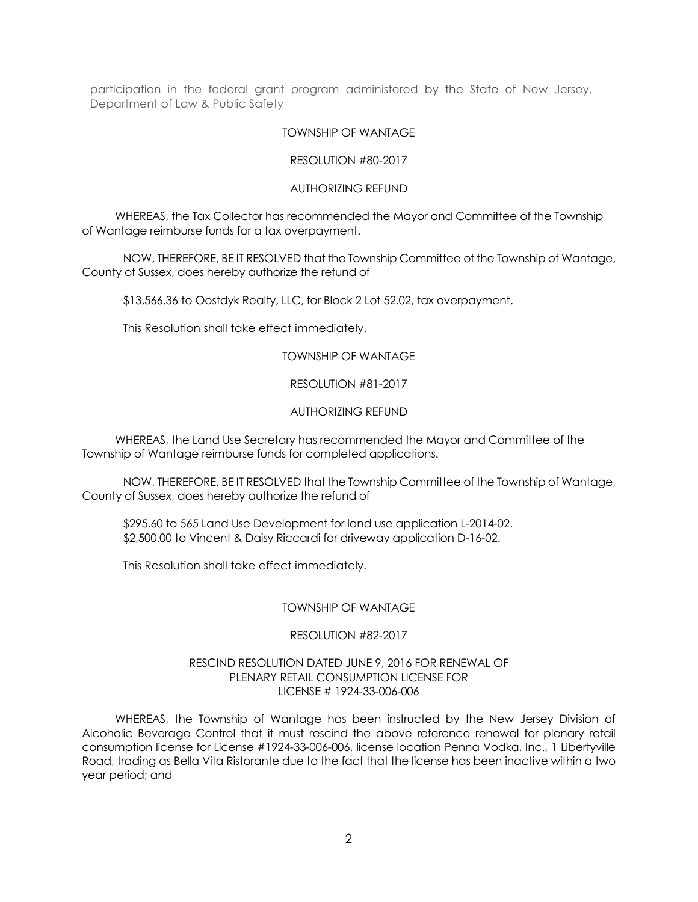participation in the federal grant program administered by the State of New Jersey, Department of Law & Public Safety

#### TOWNSHIP OF WANTAGE

#### RESOLUTION #80-2017

#### AUTHORIZING REFUND

 WHEREAS, the Tax Collector has recommended the Mayor and Committee of the Township of Wantage reimburse funds for a tax overpayment.

NOW, THEREFORE, BE IT RESOLVED that the Township Committee of the Township of Wantage, County of Sussex, does hereby authorize the refund of

\$13,566.36 to Oostdyk Realty, LLC, for Block 2 Lot 52.02, tax overpayment.

This Resolution shall take effect immediately.

## TOWNSHIP OF WANTAGE

#### RESOLUTION #81-2017

#### AUTHORIZING REFUND

 WHEREAS, the Land Use Secretary has recommended the Mayor and Committee of the Township of Wantage reimburse funds for completed applications.

NOW, THEREFORE, BE IT RESOLVED that the Township Committee of the Township of Wantage, County of Sussex, does hereby authorize the refund of

\$295.60 to 565 Land Use Development for land use application L-2014-02. \$2,500.00 to Vincent & Daisy Riccardi for driveway application D-16-02.

This Resolution shall take effect immediately.

## TOWNSHIP OF WANTAGE

#### RESOLUTION #82-2017

#### RESCIND RESOLUTION DATED JUNE 9, 2016 FOR RENEWAL OF PLENARY RETAIL CONSUMPTION LICENSE FOR LICENSE # 1924-33-006-006

 WHEREAS, the Township of Wantage has been instructed by the New Jersey Division of Alcoholic Beverage Control that it must rescind the above reference renewal for plenary retail consumption license for License #1924-33-006-006, license location Penna Vodka, Inc., 1 Libertyville Road, trading as Bella Vita Ristorante due to the fact that the license has been inactive within a two year period; and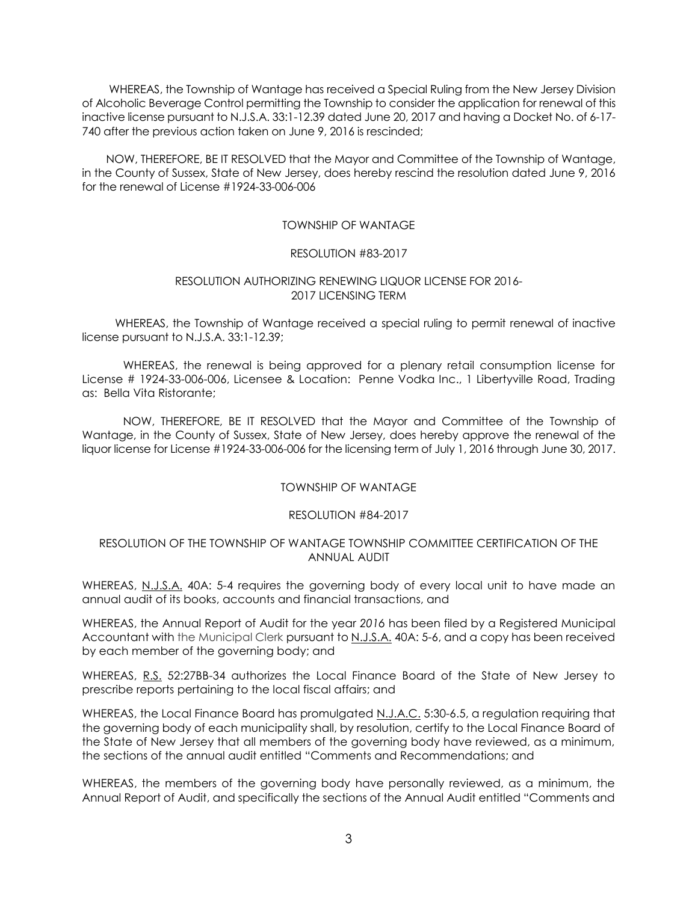WHEREAS, the Township of Wantage has received a Special Ruling from the New Jersey Division of Alcoholic Beverage Control permitting the Township to consider the application for renewal of this inactive license pursuant to N.J.S.A. 33:1-12.39 dated June 20, 2017 and having a Docket No. of 6-17- 740 after the previous action taken on June 9, 2016 is rescinded;

 NOW, THEREFORE, BE IT RESOLVED that the Mayor and Committee of the Township of Wantage, in the County of Sussex, State of New Jersey, does hereby rescind the resolution dated June 9, 2016 for the renewal of License #1924-33-006-006

## TOWNSHIP OF WANTAGE

## RESOLUTION #83-2017

#### RESOLUTION AUTHORIZING RENEWING LIQUOR LICENSE FOR 2016- 2017 LICENSING TERM

 WHEREAS, the Township of Wantage received a special ruling to permit renewal of inactive license pursuant to N.J.S.A. 33:1-12.39;

WHEREAS, the renewal is being approved for a plenary retail consumption license for License # 1924-33-006-006, Licensee & Location: Penne Vodka Inc., 1 Libertyville Road, Trading as: Bella Vita Ristorante;

NOW, THEREFORE, BE IT RESOLVED that the Mayor and Committee of the Township of Wantage, in the County of Sussex, State of New Jersey, does hereby approve the renewal of the liquor license for License #1924-33-006-006 for the licensing term of July 1, 2016 through June 30, 2017.

## TOWNSHIP OF WANTAGE

#### RESOLUTION #84-2017

## RESOLUTION OF THE TOWNSHIP OF WANTAGE TOWNSHIP COMMITTEE CERTIFICATION OF THE ANNUAL AUDIT

WHEREAS, N.J.S.A. 40A: 5-4 requires the governing body of every local unit to have made an annual audit of its books, accounts and financial transactions, and

WHEREAS, the Annual Report of Audit for the year *2016* has been filed by a Registered Municipal Accountant with the Municipal Clerk pursuant to N.J.S.A. 40A: 5-6, and a copy has been received by each member of the governing body; and

WHEREAS, R.S. 52:27BB-34 authorizes the Local Finance Board of the State of New Jersey to prescribe reports pertaining to the local fiscal affairs; and

WHEREAS, the Local Finance Board has promulgated N.J.A.C. 5:30-6.5, a regulation requiring that the governing body of each municipality shall, by resolution, certify to the Local Finance Board of the State of New Jersey that all members of the governing body have reviewed, as a minimum, the sections of the annual audit entitled "Comments and Recommendations; and

WHEREAS, the members of the governing body have personally reviewed, as a minimum, the Annual Report of Audit, and specifically the sections of the Annual Audit entitled "Comments and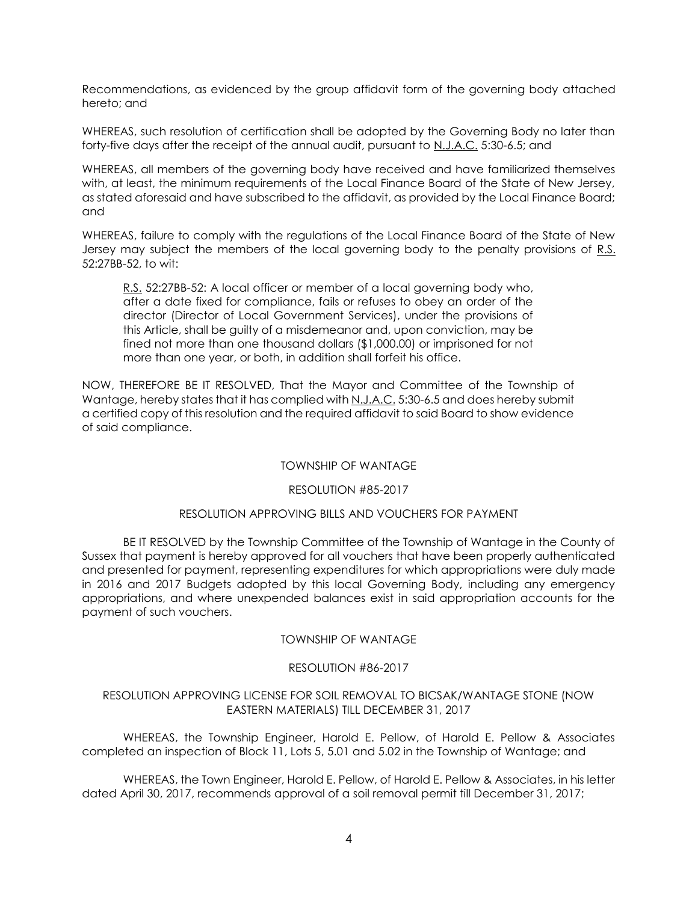Recommendations, as evidenced by the group affidavit form of the governing body attached hereto; and

WHEREAS, such resolution of certification shall be adopted by the Governing Body no later than forty-five days after the receipt of the annual audit, pursuant to N.J.A.C. 5:30-6.5; and

WHEREAS, all members of the governing body have received and have familiarized themselves with, at least, the minimum requirements of the Local Finance Board of the State of New Jersey, as stated aforesaid and have subscribed to the affidavit, as provided by the Local Finance Board; and

WHEREAS, failure to comply with the regulations of the Local Finance Board of the State of New Jersey may subject the members of the local governing body to the penalty provisions of R.S. 52:27BB-52, to wit:

R.S. 52:27BB-52: A local officer or member of a local governing body who, after a date fixed for compliance, fails or refuses to obey an order of the director (Director of Local Government Services), under the provisions of this Article, shall be guilty of a misdemeanor and, upon conviction, may be fined not more than one thousand dollars (\$1,000.00) or imprisoned for not more than one year, or both, in addition shall forfeit his office.

NOW, THEREFORE BE IT RESOLVED, That the Mayor and Committee of the Township of Wantage, hereby states that it has complied with N.J.A.C. 5:30-6.5 and does hereby submit a certified copy of this resolution and the required affidavit to said Board to show evidence of said compliance.

## TOWNSHIP OF WANTAGE

## RESOLUTION #85-2017

## RESOLUTION APPROVING BILLS AND VOUCHERS FOR PAYMENT

BE IT RESOLVED by the Township Committee of the Township of Wantage in the County of Sussex that payment is hereby approved for all vouchers that have been properly authenticated and presented for payment, representing expenditures for which appropriations were duly made in 2016 and 2017 Budgets adopted by this local Governing Body, including any emergency appropriations, and where unexpended balances exist in said appropriation accounts for the payment of such vouchers.

## TOWNSHIP OF WANTAGE

## RESOLUTION #86-2017

## RESOLUTION APPROVING LICENSE FOR SOIL REMOVAL TO BICSAK/WANTAGE STONE (NOW EASTERN MATERIALS) TILL DECEMBER 31, 2017

WHEREAS, the Township Engineer, Harold E. Pellow, of Harold E. Pellow & Associates completed an inspection of Block 11, Lots 5, 5.01 and 5.02 in the Township of Wantage; and

WHEREAS, the Town Engineer, Harold E. Pellow, of Harold E. Pellow & Associates, in his letter dated April 30, 2017, recommends approval of a soil removal permit till December 31, 2017;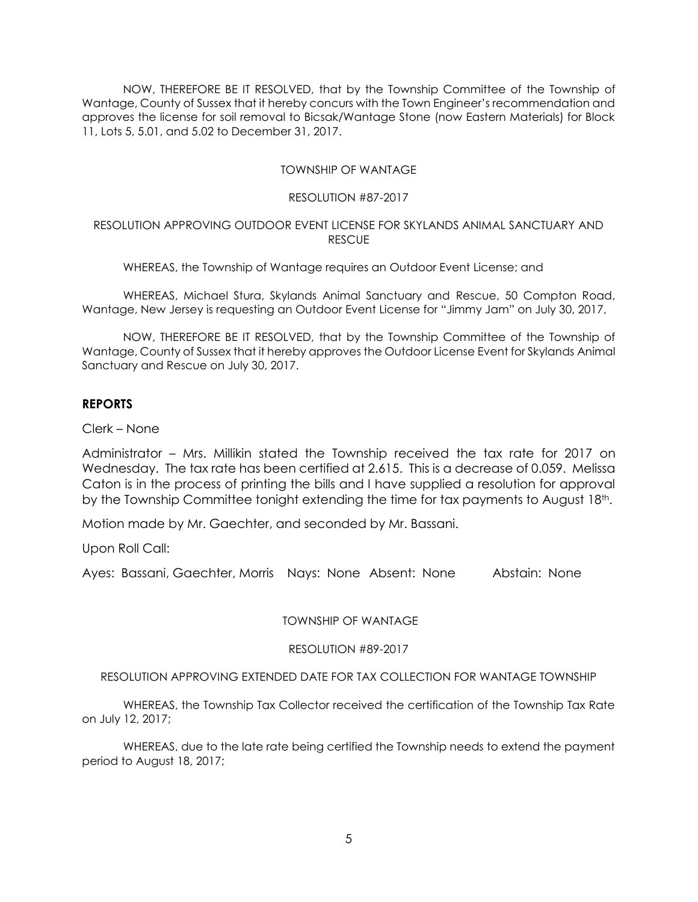NOW, THEREFORE BE IT RESOLVED, that by the Township Committee of the Township of Wantage, County of Sussex that it hereby concurs with the Town Engineer's recommendation and approves the license for soil removal to Bicsak/Wantage Stone (now Eastern Materials) for Block 11, Lots 5, 5.01, and 5.02 to December 31, 2017.

#### TOWNSHIP OF WANTAGE

#### RESOLUTION #87-2017

#### RESOLUTION APPROVING OUTDOOR EVENT LICENSE FOR SKYLANDS ANIMAL SANCTUARY AND **RESCUE**

WHEREAS, the Township of Wantage requires an Outdoor Event License; and

WHEREAS, Michael Stura, Skylands Animal Sanctuary and Rescue, 50 Compton Road, Wantage, New Jersey is requesting an Outdoor Event License for "Jimmy Jam" on July 30, 2017,

NOW, THEREFORE BE IT RESOLVED, that by the Township Committee of the Township of Wantage, County of Sussex that it hereby approves the Outdoor License Event for Skylands Animal Sanctuary and Rescue on July 30, 2017.

# **REPORTS**

Clerk – None

Administrator – Mrs. Millikin stated the Township received the tax rate for 2017 on Wednesday. The tax rate has been certified at 2.615. This is a decrease of 0.059. Melissa Caton is in the process of printing the bills and I have supplied a resolution for approval by the Township Committee tonight extending the time for tax payments to August 18th.

Motion made by Mr. Gaechter, and seconded by Mr. Bassani.

Upon Roll Call:

Ayes: Bassani, Gaechter, Morris Nays: None Absent: None Abstain: None

TOWNSHIP OF WANTAGE

RESOLUTION #89-2017

RESOLUTION APPROVING EXTENDED DATE FOR TAX COLLECTION FOR WANTAGE TOWNSHIP

WHEREAS, the Township Tax Collector received the certification of the Township Tax Rate on July 12, 2017;

WHEREAS, due to the late rate being certified the Township needs to extend the payment period to August 18, 2017;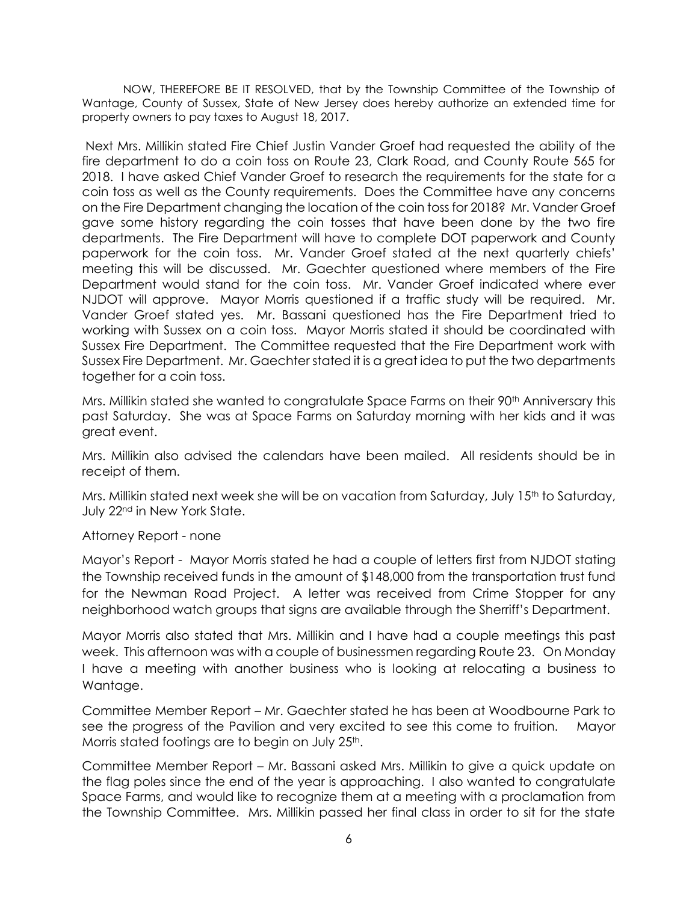NOW, THEREFORE BE IT RESOLVED, that by the Township Committee of the Township of Wantage, County of Sussex, State of New Jersey does hereby authorize an extended time for property owners to pay taxes to August 18, 2017.

Next Mrs. Millikin stated Fire Chief Justin Vander Groef had requested the ability of the fire department to do a coin toss on Route 23, Clark Road, and County Route 565 for 2018. I have asked Chief Vander Groef to research the requirements for the state for a coin toss as well as the County requirements. Does the Committee have any concerns on the Fire Department changing the location of the coin toss for 2018? Mr. Vander Groef gave some history regarding the coin tosses that have been done by the two fire departments. The Fire Department will have to complete DOT paperwork and County paperwork for the coin toss. Mr. Vander Groef stated at the next quarterly chiefs' meeting this will be discussed. Mr. Gaechter questioned where members of the Fire Department would stand for the coin toss. Mr. Vander Groef indicated where ever NJDOT will approve. Mayor Morris questioned if a traffic study will be required. Mr. Vander Groef stated yes. Mr. Bassani questioned has the Fire Department tried to working with Sussex on a coin toss. Mayor Morris stated it should be coordinated with Sussex Fire Department. The Committee requested that the Fire Department work with Sussex Fire Department. Mr. Gaechter stated it is a great idea to put the two departments together for a coin toss.

Mrs. Millikin stated she wanted to congratulate Space Farms on their 90th Anniversary this past Saturday. She was at Space Farms on Saturday morning with her kids and it was great event.

Mrs. Millikin also advised the calendars have been mailed. All residents should be in receipt of them.

Mrs. Millikin stated next week she will be on vacation from Saturday, July  $15<sup>th</sup>$  to Saturday, July 22nd in New York State.

Attorney Report - none

Mayor's Report - Mayor Morris stated he had a couple of letters first from NJDOT stating the Township received funds in the amount of \$148,000 from the transportation trust fund for the Newman Road Project. A letter was received from Crime Stopper for any neighborhood watch groups that signs are available through the Sherriff's Department.

Mayor Morris also stated that Mrs. Millikin and I have had a couple meetings this past week. This afternoon was with a couple of businessmen regarding Route 23. On Monday I have a meeting with another business who is looking at relocating a business to Wantage.

Committee Member Report – Mr. Gaechter stated he has been at Woodbourne Park to see the progress of the Pavilion and very excited to see this come to fruition. Mayor Morris stated footings are to begin on July 25<sup>th</sup>.

Committee Member Report – Mr. Bassani asked Mrs. Millikin to give a quick update on the flag poles since the end of the year is approaching. I also wanted to congratulate Space Farms, and would like to recognize them at a meeting with a proclamation from the Township Committee. Mrs. Millikin passed her final class in order to sit for the state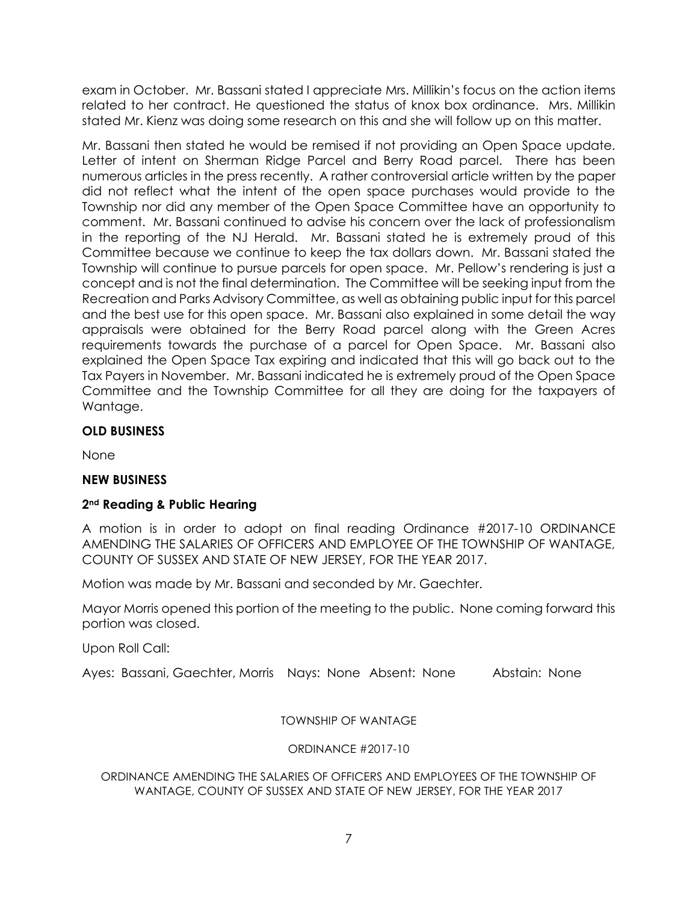exam in October. Mr. Bassani stated I appreciate Mrs. Millikin's focus on the action items related to her contract. He questioned the status of knox box ordinance. Mrs. Millikin stated Mr. Kienz was doing some research on this and she will follow up on this matter.

Mr. Bassani then stated he would be remised if not providing an Open Space update. Letter of intent on Sherman Ridge Parcel and Berry Road parcel. There has been numerous articles in the press recently. A rather controversial article written by the paper did not reflect what the intent of the open space purchases would provide to the Township nor did any member of the Open Space Committee have an opportunity to comment. Mr. Bassani continued to advise his concern over the lack of professionalism in the reporting of the NJ Herald. Mr. Bassani stated he is extremely proud of this Committee because we continue to keep the tax dollars down. Mr. Bassani stated the Township will continue to pursue parcels for open space. Mr. Pellow's rendering is just a concept and is not the final determination. The Committee will be seeking input from the Recreation and Parks Advisory Committee, as well as obtaining public input for this parcel and the best use for this open space. Mr. Bassani also explained in some detail the way appraisals were obtained for the Berry Road parcel along with the Green Acres requirements towards the purchase of a parcel for Open Space. Mr. Bassani also explained the Open Space Tax expiring and indicated that this will go back out to the Tax Payers in November. Mr. Bassani indicated he is extremely proud of the Open Space Committee and the Township Committee for all they are doing for the taxpayers of Wantage.

# **OLD BUSINESS**

None

# **NEW BUSINESS**

# **2nd Reading & Public Hearing**

A motion is in order to adopt on final reading Ordinance #2017-10 ORDINANCE AMENDING THE SALARIES OF OFFICERS AND EMPLOYEE OF THE TOWNSHIP OF WANTAGE, COUNTY OF SUSSEX AND STATE OF NEW JERSEY, FOR THE YEAR 2017.

Motion was made by Mr. Bassani and seconded by Mr. Gaechter.

Mayor Morris opened this portion of the meeting to the public. None coming forward this portion was closed.

Upon Roll Call:

Ayes: Bassani, Gaechter, Morris Nays: None Absent: None Abstain: None

TOWNSHIP OF WANTAGE

# ORDINANCE #2017-10

ORDINANCE AMENDING THE SALARIES OF OFFICERS AND EMPLOYEES OF THE TOWNSHIP OF WANTAGE, COUNTY OF SUSSEX AND STATE OF NEW JERSEY, FOR THE YEAR 2017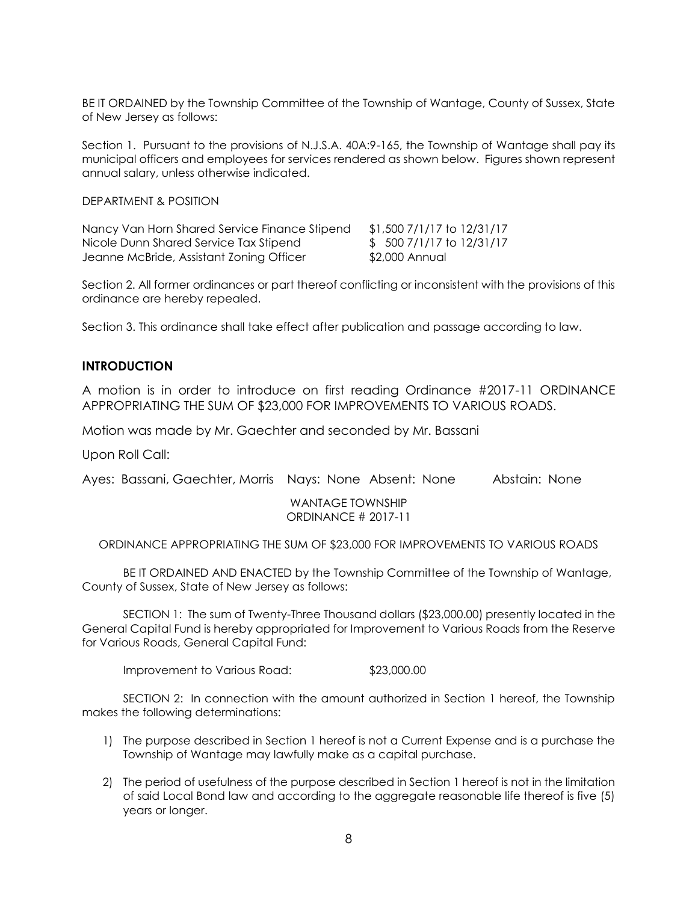BE IT ORDAINED by the Township Committee of the Township of Wantage, County of Sussex, State of New Jersey as follows:

Section 1. Pursuant to the provisions of N.J.S.A. 40A:9-165, the Township of Wantage shall pay its municipal officers and employees for services rendered as shown below. Figures shown represent annual salary, unless otherwise indicated.

DEPARTMENT & POSITION

Nancy Van Horn Shared Service Finance Stipend \$1,500 7/1/17 to 12/31/17 Nicole Dunn Shared Service Tax Stipend  $$5007/1/17$  to 12/31/17 Jeanne McBride, Assistant Zoning Officer \$2,000 Annual

Section 2. All former ordinances or part thereof conflicting or inconsistent with the provisions of this ordinance are hereby repealed.

Section 3. This ordinance shall take effect after publication and passage according to law.

# **INTRODUCTION**

A motion is in order to introduce on first reading Ordinance #2017-11 ORDINANCE APPROPRIATING THE SUM OF \$23,000 FOR IMPROVEMENTS TO VARIOUS ROADS.

Motion was made by Mr. Gaechter and seconded by Mr. Bassani

Upon Roll Call:

Ayes: Bassani, Gaechter, Morris Nays: None Absent: None Abstain: None

WANTAGE TOWNSHIP ORDINANCE # 2017-11

ORDINANCE APPROPRIATING THE SUM OF \$23,000 FOR IMPROVEMENTS TO VARIOUS ROADS

BE IT ORDAINED AND ENACTED by the Township Committee of the Township of Wantage, County of Sussex, State of New Jersey as follows:

SECTION 1: The sum of Twenty-Three Thousand dollars (\$23,000.00) presently located in the General Capital Fund is hereby appropriated for Improvement to Various Roads from the Reserve for Various Roads, General Capital Fund:

Improvement to Various Road: \$23,000.00

SECTION 2: In connection with the amount authorized in Section 1 hereof, the Township makes the following determinations:

- 1) The purpose described in Section 1 hereof is not a Current Expense and is a purchase the Township of Wantage may lawfully make as a capital purchase.
- 2) The period of usefulness of the purpose described in Section 1 hereof is not in the limitation of said Local Bond law and according to the aggregate reasonable life thereof is five (5) years or longer.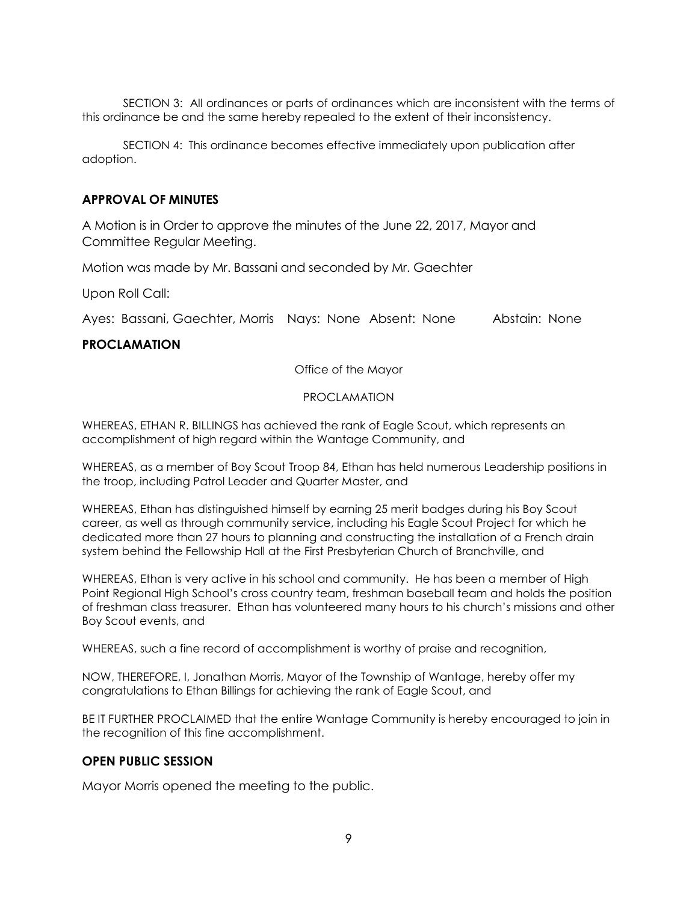SECTION 3: All ordinances or parts of ordinances which are inconsistent with the terms of this ordinance be and the same hereby repealed to the extent of their inconsistency.

SECTION 4: This ordinance becomes effective immediately upon publication after adoption.

# **APPROVAL OF MINUTES**

A Motion is in Order to approve the minutes of the June 22, 2017, Mayor and Committee Regular Meeting.

Motion was made by Mr. Bassani and seconded by Mr. Gaechter

Upon Roll Call:

Ayes: Bassani, Gaechter, Morris Nays: None Absent: None Abstain: None

# **PROCLAMATION**

Office of the Mayor

#### PROCLAMATION

WHEREAS, ETHAN R. BILLINGS has achieved the rank of Eagle Scout, which represents an accomplishment of high regard within the Wantage Community, and

WHEREAS, as a member of Boy Scout Troop 84, Ethan has held numerous Leadership positions in the troop, including Patrol Leader and Quarter Master, and

WHEREAS, Ethan has distinguished himself by earning 25 merit badges during his Boy Scout career, as well as through community service, including his Eagle Scout Project for which he dedicated more than 27 hours to planning and constructing the installation of a French drain system behind the Fellowship Hall at the First Presbyterian Church of Branchville, and

WHEREAS, Ethan is very active in his school and community. He has been a member of High Point Regional High School's cross country team, freshman baseball team and holds the position of freshman class treasurer. Ethan has volunteered many hours to his church's missions and other Boy Scout events, and

WHEREAS, such a fine record of accomplishment is worthy of praise and recognition,

NOW, THEREFORE, I, Jonathan Morris, Mayor of the Township of Wantage, hereby offer my congratulations to Ethan Billings for achieving the rank of Eagle Scout, and

BE IT FURTHER PROCLAIMED that the entire Wantage Community is hereby encouraged to join in the recognition of this fine accomplishment.

## **OPEN PUBLIC SESSION**

Mayor Morris opened the meeting to the public.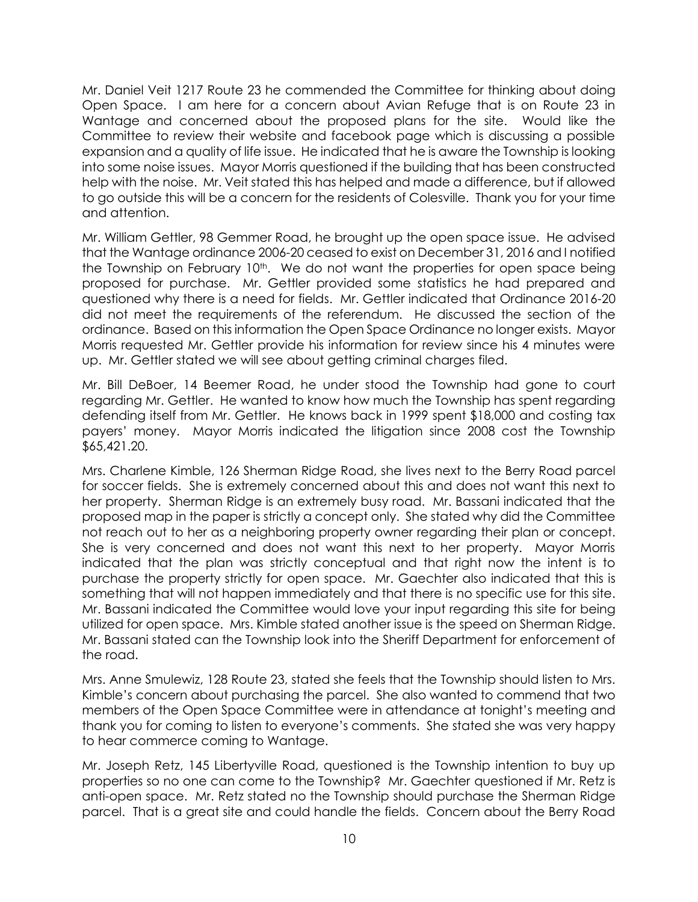Mr. Daniel Veit 1217 Route 23 he commended the Committee for thinking about doing Open Space. I am here for a concern about Avian Refuge that is on Route 23 in Wantage and concerned about the proposed plans for the site. Would like the Committee to review their website and facebook page which is discussing a possible expansion and a quality of life issue. He indicated that he is aware the Township is looking into some noise issues. Mayor Morris questioned if the building that has been constructed help with the noise. Mr. Veit stated this has helped and made a difference, but if allowed to go outside this will be a concern for the residents of Colesville. Thank you for your time and attention.

Mr. William Gettler, 98 Gemmer Road, he brought up the open space issue. He advised that the Wantage ordinance 2006-20 ceased to exist on December 31, 2016 and I notified the Township on February 10<sup>th</sup>. We do not want the properties for open space being proposed for purchase. Mr. Gettler provided some statistics he had prepared and questioned why there is a need for fields. Mr. Gettler indicated that Ordinance 2016-20 did not meet the requirements of the referendum. He discussed the section of the ordinance. Based on this information the Open Space Ordinance no longer exists. Mayor Morris requested Mr. Gettler provide his information for review since his 4 minutes were up. Mr. Gettler stated we will see about getting criminal charges filed.

Mr. Bill DeBoer, 14 Beemer Road, he under stood the Township had gone to court regarding Mr. Gettler. He wanted to know how much the Township has spent regarding defending itself from Mr. Gettler. He knows back in 1999 spent \$18,000 and costing tax payers' money. Mayor Morris indicated the litigation since 2008 cost the Township \$65,421.20.

Mrs. Charlene Kimble, 126 Sherman Ridge Road, she lives next to the Berry Road parcel for soccer fields. She is extremely concerned about this and does not want this next to her property. Sherman Ridge is an extremely busy road. Mr. Bassani indicated that the proposed map in the paper is strictly a concept only. She stated why did the Committee not reach out to her as a neighboring property owner regarding their plan or concept. She is very concerned and does not want this next to her property. Mayor Morris indicated that the plan was strictly conceptual and that right now the intent is to purchase the property strictly for open space. Mr. Gaechter also indicated that this is something that will not happen immediately and that there is no specific use for this site. Mr. Bassani indicated the Committee would love your input regarding this site for being utilized for open space. Mrs. Kimble stated another issue is the speed on Sherman Ridge. Mr. Bassani stated can the Township look into the Sheriff Department for enforcement of the road.

Mrs. Anne Smulewiz, 128 Route 23, stated she feels that the Township should listen to Mrs. Kimble's concern about purchasing the parcel. She also wanted to commend that two members of the Open Space Committee were in attendance at tonight's meeting and thank you for coming to listen to everyone's comments. She stated she was very happy to hear commerce coming to Wantage.

Mr. Joseph Retz, 145 Libertyville Road, questioned is the Township intention to buy up properties so no one can come to the Township? Mr. Gaechter questioned if Mr. Retz is anti-open space. Mr. Retz stated no the Township should purchase the Sherman Ridge parcel. That is a great site and could handle the fields. Concern about the Berry Road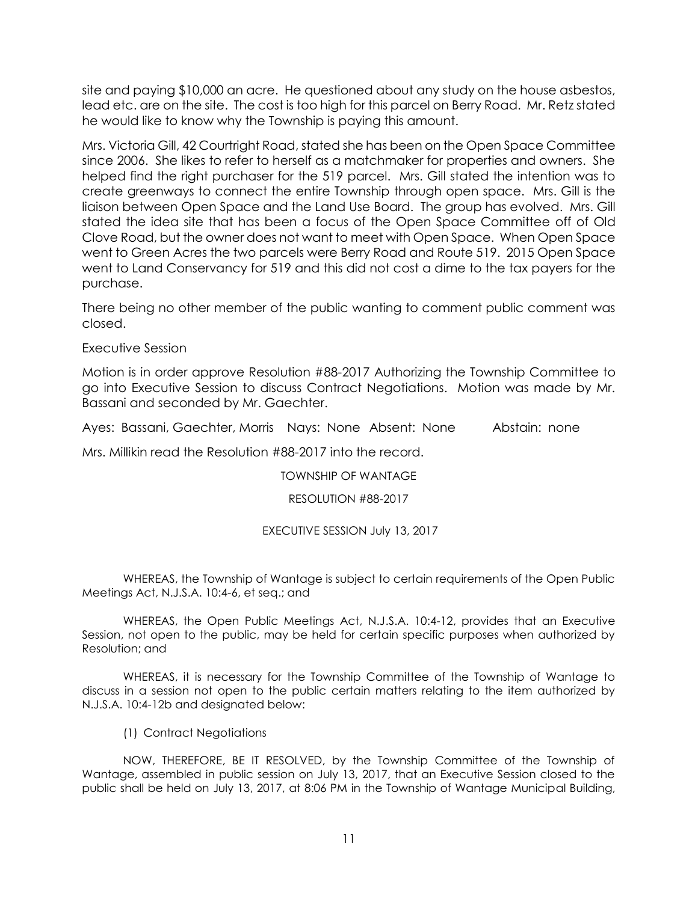site and paying \$10,000 an acre. He questioned about any study on the house asbestos, lead etc. are on the site. The cost is too high for this parcel on Berry Road. Mr. Retz stated he would like to know why the Township is paying this amount.

Mrs. Victoria Gill, 42 Courtright Road, stated she has been on the Open Space Committee since 2006. She likes to refer to herself as a matchmaker for properties and owners. She helped find the right purchaser for the 519 parcel. Mrs. Gill stated the intention was to create greenways to connect the entire Township through open space. Mrs. Gill is the liaison between Open Space and the Land Use Board. The group has evolved. Mrs. Gill stated the idea site that has been a focus of the Open Space Committee off of Old Clove Road, but the owner does not want to meet with Open Space. When Open Space went to Green Acres the two parcels were Berry Road and Route 519. 2015 Open Space went to Land Conservancy for 519 and this did not cost a dime to the tax payers for the purchase.

There being no other member of the public wanting to comment public comment was closed.

# Executive Session

Motion is in order approve Resolution #88-2017 Authorizing the Township Committee to go into Executive Session to discuss Contract Negotiations. Motion was made by Mr. Bassani and seconded by Mr. Gaechter.

Ayes: Bassani, Gaechter, Morris Nays: None Absent: None Abstain: none

Mrs. Millikin read the Resolution #88-2017 into the record.

TOWNSHIP OF WANTAGE

## RESOLUTION #88-2017

## EXECUTIVE SESSION July 13, 2017

WHEREAS, the Township of Wantage is subject to certain requirements of the Open Public Meetings Act, N.J.S.A. 10:4-6, et seq.; and

WHEREAS, the Open Public Meetings Act, N.J.S.A. 10:4-12, provides that an Executive Session, not open to the public, may be held for certain specific purposes when authorized by Resolution; and

WHEREAS, it is necessary for the Township Committee of the Township of Wantage to discuss in a session not open to the public certain matters relating to the item authorized by N.J.S.A. 10:4-12b and designated below:

(1) Contract Negotiations

NOW, THEREFORE, BE IT RESOLVED, by the Township Committee of the Township of Wantage, assembled in public session on July 13, 2017, that an Executive Session closed to the public shall be held on July 13, 2017, at 8:06 PM in the Township of Wantage Municipal Building,